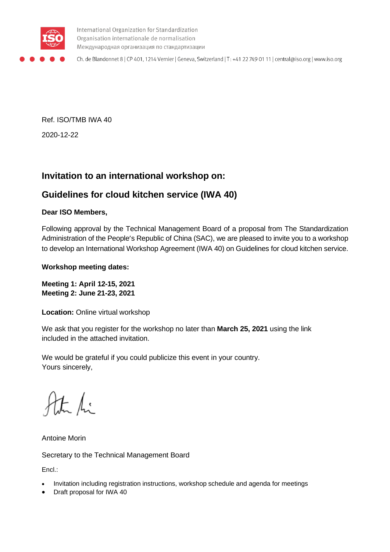

International Organization for Standardization Organisation internationale de normalisation Международная организация по стандартизации

Ch. de Blandonnet 8 | CP 401, 1214 Vernier | Geneva, Switzerland | T: +41 22 749 01 11 | central@iso.org | www.iso.org

Ref. ISO/TMB IWA 40 2020-12-22

# **Invitation to an international workshop on:**

# **Guidelines for cloud kitchen service (IWA 40)**

#### **Dear ISO Members,**

Following approval by the Technical Management Board of a proposal from The Standardization Administration of the People's Republic of China (SAC), we are pleased to invite you to a workshop to develop an International Workshop Agreement (IWA 40) on Guidelines for cloud kitchen service.

#### **Workshop meeting dates:**

**Meeting 1: April 12-15, 2021 Meeting 2: June 21-23, 2021**

**Location: Online virtual workshop** 

We ask that you register for the workshop no later than **March 25, 2021** using the link included in the attached invitation.

We would be grateful if you could publicize this event in your country. Yours sincerely,

the fi

Antoine Morin

Secretary to the Technical Management Board

Encl.:

- Invitation including registration instructions, workshop schedule and agenda for meetings
- Draft proposal for IWA 40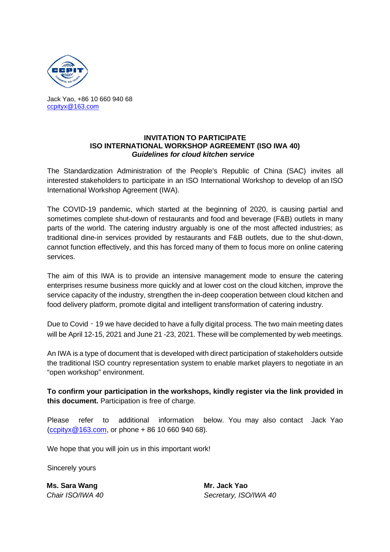

Jack Yao, +86 10 660 940 68 [ccpityx@163.com](mailto:ccpityx@163.com)

#### **INVITATION TO PARTICIPATE ISO INTERNATIONAL WORKSHOP AGREEMENT (ISO IWA 40)** *Guidelines for cloud kitchen service*

The Standardization Administration of the People's Republic of China (SAC) invites all interested stakeholders to participate in an ISO International Workshop to develop of an ISO International Workshop Agreement (IWA).

The COVID-19 pandemic, which started at the beginning of 2020, is causing partial and sometimes complete shut-down of restaurants and food and beverage (F&B) outlets in many parts of the world. The catering industry arguably is one of the most affected industries; as traditional dine-in services provided by restaurants and F&B outlets, due to the shut-down, cannot function effectively, and this has forced many of them to focus more on online catering services.

The aim of this IWA is to provide an intensive management mode to ensure the catering enterprises resume business more quickly and at lower cost on the cloud kitchen, improve the service capacity of the industry, strengthen the in-deep cooperation between cloud kitchen and food delivery platform, promote digital and intelligent transformation of catering industry.

Due to Covid - 19 we have decided to have a fully digital process. The two main meeting dates will be April 12-15, 2021 and June 21 -23, 2021. These will be complemented by web meetings.

An IWA is a type of document that is developed with direct participation of stakeholders outside the traditional ISO country representation system to enable market players to negotiate in an "open workshop" environment.

**To confirm your participation in the workshops, kindly register via the link provided in this document.** Participation is free of charge.

Please refer to additional information below. You may also contact Jack Yao  $(c$ ccpityx@163.com, or phone + 86 10 660 940 68).

We hope that you will join us in this important work!

Sincerely yours

**Ms. Sara Wang Mr. Jack Yao**

*Chair ISO/IWA 40 Secretary, ISO/IWA 40*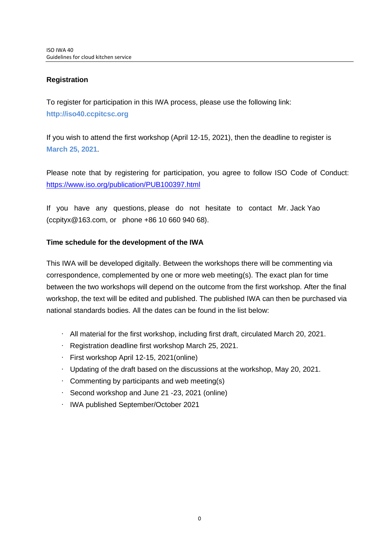#### **Registration**

To register for participation in this IWA process, please use the following link: **http://iso40.ccpitcsc.org**

If you wish to attend the first workshop (April 12-15, 2021), then the deadline to register is **March 25, 2021**.

Please note that by registering for participation, you agree to follow ISO Code of Conduct: <https://www.iso.org/publication/PUB100397.html>

If you have any questions, please do not hesitate to contact Mr. Jack Yao (ccpityx@163.com, or phone +86 10 660 940 68).

#### **Time schedule for the development of the IWA**

This IWA will be developed digitally. Between the workshops there will be commenting via correspondence, complemented by one or more web meeting(s). The exact plan for time between the two workshops will depend on the outcome from the first workshop. After the final workshop, the text will be edited and published. The published IWA can then be purchased via national standards bodies. All the dates can be found in the list below:

- All material for the first workshop, including first draft, circulated March 20, 2021.
- Registration deadline first workshop March 25, 2021.
- First workshop April 12-15, 2021(online)
- Updating of the draft based on the discussions at the workshop, May 20, 2021.
- $\cdot$  Commenting by participants and web meeting(s)
- Second workshop and June 21 -23, 2021 (online)
- IWA published September/October 2021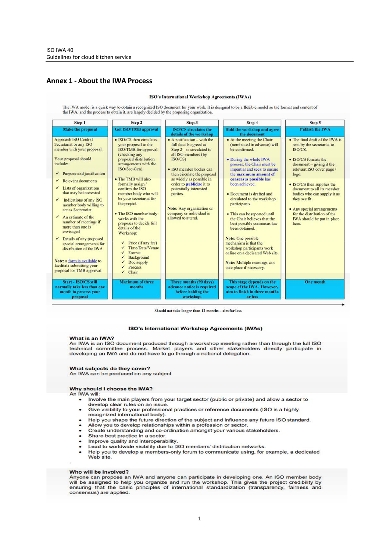#### **Annex 1 ‐ About the IWA Process**

ISO's International Workshop Agreements (IWAs) The IWA model is a quick way to obtain a recognized ISO document for your work. It is designed to be a flexible model so the format and content of the IWA, and the process to obtain it, are largely decided by the proposing organization Step 1 Sten 2 Step 3 Step 4 Step 5 **Make the proposal Get ISO/TMB approva Hold the workshop and agree** ablish the IW. **ISO/CS** circulates the details of the workshop the docume **Approach ISO Central** · ISO/CS then circulates • A notification - with the • At the meeting the Chair • The final draft of the IWA is Secretariat or any ISO your proposal to the<br>ISO/TMB for approval (nominated in advance) will full details agreed at sent by the secretariat to member with your proposal. Step  $2 -$  is circulated to be confirmed. **ISO/CS** (checking any proposed distribution all ISO members (by Your proposal should  $\bullet$  ISO/CS formats the ISO/CS) • During the whole IWA include arrangements with the process, the Chair must be  $document - giving it the$ ISO/Sec-Gen). · ISO member bodies can impartial and seek to ensure relevant ISO cover page /  $\checkmark$  Purpose and justification then circulate the proposal the maximum amount of logo. • The TMB will also as widely as possible in consensus possible has Relevant documents formally assign order to publicize it to been achieved • ISO/CS then supplies the  $\checkmark$  Lists of organizations confirm the ISO potentially interested document to all its member that may be interested member body who will • Document is drafted and bodies who can supply it as parties. be your secretariat for circulated to the workshop they see fit.  $\checkmark$  Indications of any ISO the project. participants. member body willing to Note: Any organization or • Any special arrangements act as Secretariat • The ISO member body company or individual is for the distribution of the • This can be repeated until  $\checkmark$  An estimate of the works with the<br>proposer to decide full allowed to attend. the Chair believes that the IWA should be put in place number of meetings if best possible consensus has here. more than one is details of the been obtained. envisaged Workshop:  $\checkmark$  Details of any proposed Note: One possible Price (if any fee) mechanism is that the special arrangements for<br>distribution of the IWA J Time/Date/Venue workshop participants work Format online on a dedicated Web site Background Note: a form is available to  $\checkmark$ Doc supply Note: Multiple meetings can facilitate submitting your Process take place if necessary proposal for TMB approval. Chair

**Maximum of three** Start - ISO/CS wil Three months (90 days) This stage depends on the<br>scope of the IWA. However, **One month** normally take less than one months advance notice is required month to process your before holding the aim to finish in three months workshop or less proposal

Should not take longer than 12 months - aim for less

#### **ISO's International Workshop Agreements (IWAs)**

#### What is an IWA?

An IWA is an ISO document produced through a workshop meeting rather than through the full ISO technical committee process. Market players and other stakeholders directly participate in developing an IWA and do not have to go through a national delegation.

#### What subjects do they cover?

An IWA can be produced on any subject

#### Why should I choose the IWA?

An IWA will:

- Involve the main players from your target sector (public or private) and allow a sector to develop clear rules on an issue.
- Give visibility to your professional practices or reference documents (ISO is a highly  $\bullet$ recognized international body).
- Help you shape the future direction of the subject and influence any future ISO standard.
- Allow you to develop relationships within a profession or sector
- Create understanding and co-ordination amongst your various stakeholders.
- Share best practice in a sector.
- Improve quality and interoperability.
- Lead to worldwide visibility due to ISO members' distribution networks.
- Help you to develop a members-only forum to communicate using, for example, a dedicated<br>Web site.

#### Who will be involved?

Anyone can propose an IWA and anyone can participate in developing one. An ISO member body will be assigned to help you organize and run the workshop. This gives the project credibility by<br>ensuring that the basic principles of international standardization (transparency, fairness and consensus) are applied.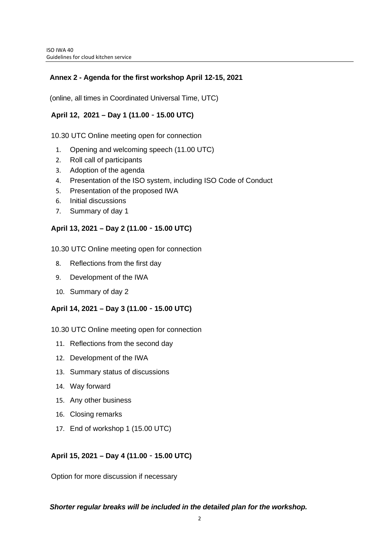#### **Annex 2 - Agenda for the first workshop April 12-15, 2021**

(online, all times in Coordinated Universal Time, UTC)

#### **April 12, 2021 – Day 1 (11.00**‐**15.00 UTC)**

10.30 UTC Online meeting open for connection

- 1. Opening and welcoming speech (11.00 UTC)
- 2. Roll call of participants
- 3. Adoption of the agenda
- 4. Presentation of the ISO system, including ISO Code of Conduct
- 5. Presentation of the proposed IWA
- 6. Initial discussions
- 7. Summary of day 1

#### **April 13, 2021 – Day 2 (11.00**‐**15.00 UTC)**

10.30 UTC Online meeting open for connection

- 8. Reflections from the first day
- 9. Development of the IWA
- 10. Summary of day 2

#### **April 14, 2021 – Day 3 (11.00**‐**15.00 UTC)**

10.30 UTC Online meeting open for connection

- 11. Reflections from the second day
- 12. Development of the IWA
- 13. Summary status of discussions
- 14. Way forward
- 15. Any other business
- 16. Closing remarks
- 17. End of workshop 1 (15.00 UTC)

#### **April 15, 2021 – Day 4 (11.00**‐**15.00 UTC)**

Option for more discussion if necessary

#### *Shorter regular breaks will be included in the detailed plan for the workshop.*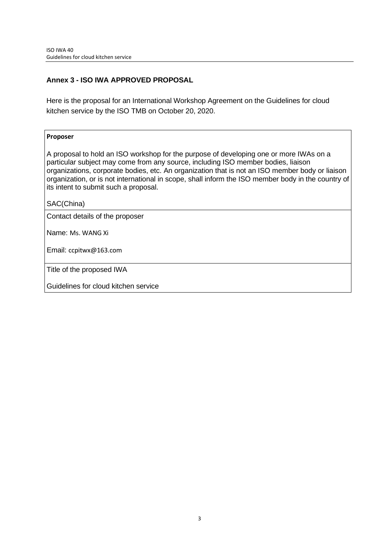#### **Annex 3 - ISO IWA APPROVED PROPOSAL**

Here is the proposal for an International Workshop Agreement on the Guidelines for cloud kitchen service by the ISO TMB on October 20, 2020.

#### **Proposer**

A proposal to hold an ISO workshop for the purpose of developing one or more IWAs on a particular subject may come from any source, including ISO member bodies, liaison organizations, corporate bodies, etc. An organization that is not an ISO member body or liaison organization, or is not international in scope, shall inform the ISO member body in the country of its intent to submit such a proposal.

#### SAC(China)

Contact details of the proposer

Name: Ms. WANG Xi

Email: ccpitwx@163.com

Title of the proposed IWA

Guidelines for cloud kitchen service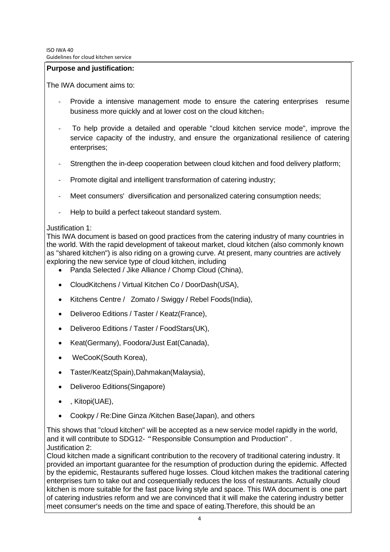#### **Purpose and justification:**

The IWA document aims to:

- Provide a intensive management mode to ensure the catering enterprises resume business more quickly and at lower cost on the cloud kitchen;
- To help provide a detailed and operable "cloud kitchen service mode", improve the service capacity of the industry, and ensure the organizational resilience of catering enterprises;
- Strengthen the in-deep cooperation between cloud kitchen and food delivery platform;
- Promote digital and intelligent transformation of catering industry;
- Meet consumers' diversification and personalized catering consumption needs;
- Help to build a perfect takeout standard system.

#### Justification 1:

This IWA document is based on good practices from the catering industry of many countries in the world. With the rapid development of takeout market, cloud kitchen (also commonly known as "shared kitchen") is also riding on a growing curve. At present, many countries are actively exploring the new service type of cloud kitchen, including

- Panda Selected / Jike Alliance / Chomp Cloud (China),
- CloudKitchens / Virtual Kitchen Co / DoorDash(USA),
- Kitchens Centre / Zomato / Swiggy / Rebel Foods(India),
- Deliveroo Editions / Taster / Keatz(France),
- Deliveroo Editions / Taster / FoodStars(UK),
- Keat(Germany), Foodora/Just Eat(Canada),
- WeCooK(South Korea),
- Taster/Keatz(Spain),Dahmakan(Malaysia),
- Deliveroo Editions(Singapore)
- , Kitopi(UAE),
- Cookpy / Re:Dine Ginza /Kitchen Base(Japan), and others

This shows that "cloud kitchen" will be accepted as a new service model rapidly in the world, and it will contribute to SDG12-"Responsible Consumption and Production" . Justification 2:

Cloud kitchen made a significant contribution to the recovery of traditional catering industry. It provided an important guarantee for the resumption of production during the epidemic. Affected by the epidemic, Restaurants suffered huge losses. Cloud kitchen makes the traditional catering enterprises turn to take out and cosequentially reduces the loss of restaurants. Actually cloud kitchen is more suitable for the fast pace living style and space. This IWA document is one part of catering industries reform and we are convinced that it will make the catering industry better meet consumer's needs on the time and space of eating.Therefore, this should be an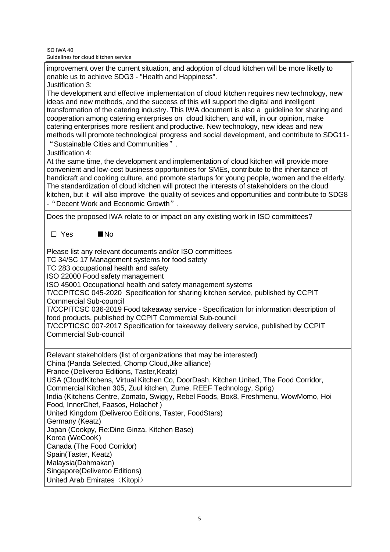ISO IWA 40 Guidelines for cloud kitchen service

improvement over the current situation, and adoption of cloud kitchen will be more liketly to enable us to achieve SDG3 - "Health and Happiness".

Justification 3:

The development and effective implementation of cloud kitchen requires new technology, new ideas and new methods, and the success of this will support the digital and intelligent transformation of the catering industry. This IWA document is also a guideline for sharing and cooperation among catering enterprises on cloud kitchen, and will, in our opinion, make catering enterprises more resilient and productive. New technology, new ideas and new methods will promote technological progress and social development, and contribute to SDG11- "Sustainable Cities and Communities".

Justification 4:

At the same time, the development and implementation of cloud kitchen will provide more convenient and low-cost business opportunities for SMEs, contribute to the inheritance of handicraft and cooking culture, and promote startups for young people, women and the elderly. The standardization of cloud kitchen will protect the interests of stakeholders on the cloud kitchen, but it will also improve the quality of sevices and opportunities and contribute to SDG8 -"Decent Work and Economic Growth".

Does the proposed IWA relate to or impact on any existing work in ISO committees?

☐ Yes ■No

Please list any relevant documents and/or ISO committees

TC 34/SC 17 Management systems for food safety

TC 283 occupational health and safety

ISO 22000 Food safety management

ISO 45001 Occupational health and safety management systems

T/CCPITCSC 045-2020 Specification for sharing kitchen service, published by CCPIT Commercial Sub-council

T/CCPITCSC 036-2019 Food takeaway service - Specification for information description of food products, published by CCPIT Commercial Sub-council

T/CCPTICSC 007-2017 Specification for takeaway delivery service, published by CCPIT Commercial Sub-council

Relevant stakeholders (list of organizations that may be interested) China (Panda Selected, Chomp Cloud,Jike alliance)

France (Deliveroo Editions, Taster,Keatz)

USA (CloudKitchens, Virtual Kitchen Co, DoorDash, Kitchen United, The Food Corridor,

Commercial Kitchen 305, Zuul kitchen, Zume, REEF Technology, Sprig)

India (Kitchens Centre, Zomato, Swiggy, Rebel Foods, Box8, Freshmenu, WowMomo, Hoi Food, InnerChef, Faasos, Holachef )

United Kingdom (Deliveroo Editions, Taster, FoodStars)

Germany (Keatz)

Japan (Cookpy, Re:Dine Ginza, Kitchen Base)

- Korea (WeCooK)
- Canada (The Food Corridor)
- Spain(Taster, Keatz)
- Malaysia(Dahmakan)
- Singapore(Deliveroo Editions)
- United Arab Emirates (Kitopi)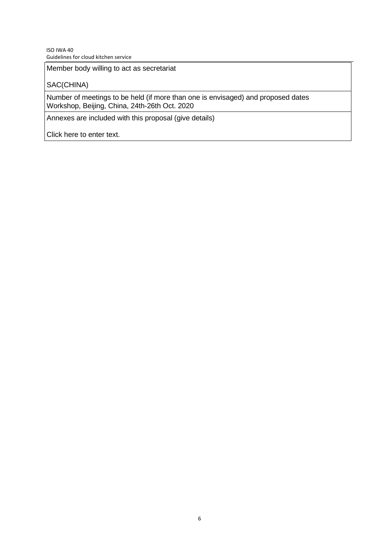#### ISO IWA 40 Guidelines for cloud kitchen service

Member body willing to act as secretariat

### SAC(CHINA)

Number of meetings to be held (if more than one is envisaged) and proposed dates Workshop, Beijing, China, 24th-26th Oct. 2020

Annexes are included with this proposal (give details)

Click here to enter text.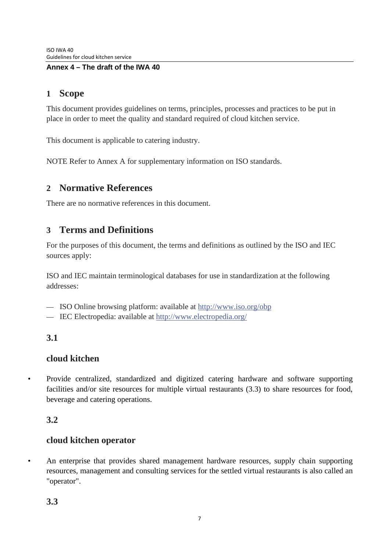### **Annex 4 – The draft of the IWA 40**

# **1 Scope**

This document provides guidelines on terms, principles, processes and practices to be put in place in order to meet the quality and standard required of cloud kitchen service.

This document is applicable to catering industry.

NOTE Refer to Annex A for supplementary information on ISO standards.

# **2 Normative References**

There are no normative references in this document.

# **3 Terms and Definitions**

For the purposes of this document, the terms and definitions as outlined by the ISO and IEC sources apply:

ISO and IEC maintain terminological databases for use in standardization at the following addresses:

- ISO Online browsing platform: available at<http://www.iso.org/obp>
- IEC Electropedia: available at<http://www.electropedia.org/>

# **3.1**

### **cloud kitchen**

• Provide centralized, standardized and digitized catering hardware and software supporting facilities and/or site resources for multiple virtual restaurants (3.3) to share resources for food, beverage and catering operations.

# **3.2**

# **cloud kitchen operator**

• An enterprise that provides shared management hardware resources, supply chain supporting resources, management and consulting services for the settled virtual restaurants is also called an "operator".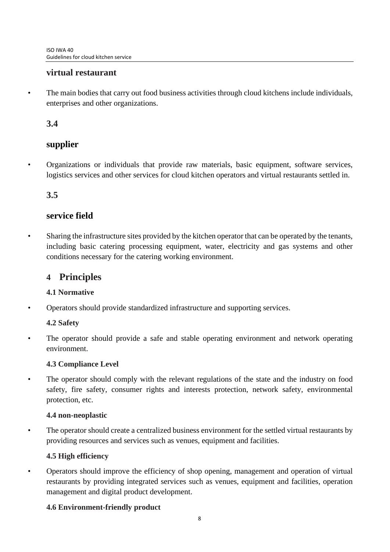# **virtual restaurant**

• The main bodies that carry out food business activities through cloud kitchens include individuals, enterprises and other organizations.

# **3.4**

# **supplier**

• Organizations or individuals that provide raw materials, basic equipment, software services, logistics services and other services for cloud kitchen operators and virtual restaurants settled in.

# **3.5**

# **service field**

• Sharing the infrastructure sites provided by the kitchen operator that can be operated by the tenants, including basic catering processing equipment, water, electricity and gas systems and other conditions necessary for the catering working environment.

# **4 Principles**

### **4.1 Normative**

• Operators should provide standardized infrastructure and supporting services.

### **4.2 Safety**

The operator should provide a safe and stable operating environment and network operating environment.

### **4.3 Compliance Level**

• The operator should comply with the relevant regulations of the state and the industry on food safety, fire safety, consumer rights and interests protection, network safety, environmental protection, etc.

### **4.4 non-neoplastic**

• The operator should create a centralized business environment for the settled virtual restaurants by providing resources and services such as venues, equipment and facilities.

# **4.5 High efficiency**

• Operators should improve the efficiency of shop opening, management and operation of virtual restaurants by providing integrated services such as venues, equipment and facilities, operation management and digital product development.

### **4.6 Environment-friendly product**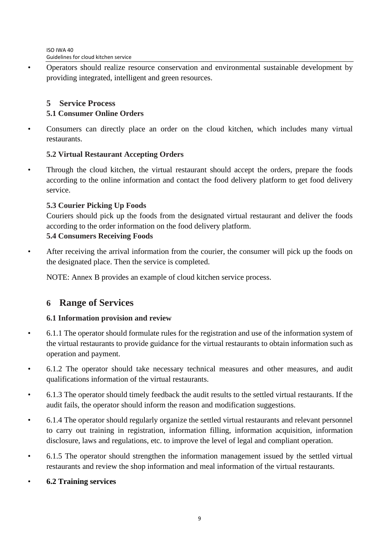• Operators should realize resource conservation and environmental sustainable development by providing integrated, intelligent and green resources.

# **5 Service Process 5.1 Consumer Online Orders**

• Consumers can directly place an order on the cloud kitchen, which includes many virtual restaurants.

# **5.2 Virtual Restaurant Accepting Orders**

• Through the cloud kitchen, the virtual restaurant should accept the orders, prepare the foods according to the online information and contact the food delivery platform to get food delivery service.

# **5.3 Courier Picking Up Foods**

Couriers should pick up the foods from the designated virtual restaurant and deliver the foods according to the order information on the food delivery platform.

## **5.4 Consumers Receiving Foods**

• After receiving the arrival information from the courier, the consumer will pick up the foods on the designated place. Then the service is completed.

NOTE: Annex B provides an example of cloud kitchen service process.

# **6 Range of Services**

# **6.1 Information provision and review**

- 6.1.1 The operator should formulate rules for the registration and use of the information system of the virtual restaurants to provide guidance for the virtual restaurants to obtain information such as operation and payment.
- 6.1.2 The operator should take necessary technical measures and other measures, and audit qualifications information of the virtual restaurants.
- 6.1.3 The operator should timely feedback the audit results to the settled virtual restaurants. If the audit fails, the operator should inform the reason and modification suggestions.
- 6.1.4 The operator should regularly organize the settled virtual restaurants and relevant personnel to carry out training in registration, information filling, information acquisition, information disclosure, laws and regulations, etc. to improve the level of legal and compliant operation.
- 6.1.5 The operator should strengthen the information management issued by the settled virtual restaurants and review the shop information and meal information of the virtual restaurants.
- **6.2 Training services**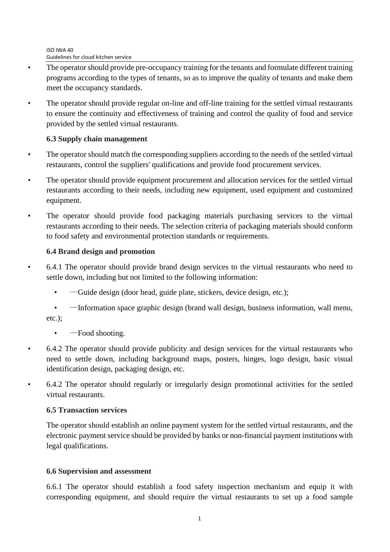- The operator should provide pre-occupancy training for the tenants and formulate different training programs according to the types of tenants, so as to improve the quality of tenants and make them meet the occupancy standards.
- The operator should provide regular on-line and off-line training for the settled virtual restaurants to ensure the continuity and effectiveness of training and control the quality of food and service provided by the settled virtual restaurants.

### **6.3 Supply chain management**

- The operator should match the corresponding suppliers according to the needs of the settled virtual restaurants, control the suppliers' qualifications and provide food procurement services.
- The operator should provide equipment procurement and allocation services for the settled virtual restaurants according to their needs, including new equipment, used equipment and customized equipment.
- The operator should provide food packaging materials purchasing services to the virtual restaurants according to their needs. The selection criteria of packaging materials should conform to food safety and environmental protection standards or requirements.

## **6.4 Brand design and promotion**

- 6.4.1 The operator should provide brand design services to the virtual restaurants who need to settle down, including but not limited to the following information:
	- $-\theta$  Guide design (door head, guide plate, stickers, device design, etc.);

• —Information space graphic design (brand wall design, business information, wall menu, etc.);

- $\bullet$  —Food shooting.
- 6.4.2 The operator should provide publicity and design services for the virtual restaurants who need to settle down, including background maps, posters, hinges, logo design, basic visual identification design, packaging design, etc.
- 6.4.2 The operator should regularly or irregularly design promotional activities for the settled virtual restaurants.

### **6.5 Transaction services**

The operator should establish an online payment system for the settled virtual restaurants, and the electronic payment service should be provided by banks or non-financial payment institutions with legal qualifications.

### **6.6 Supervision and assessment**

6.6.1 The operator should establish a food safety inspection mechanism and equip it with corresponding equipment, and should require the virtual restaurants to set up a food sample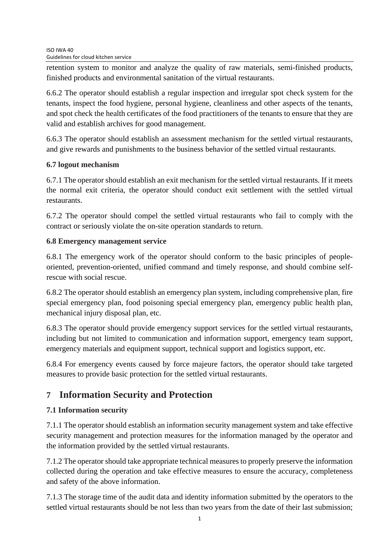retention system to monitor and analyze the quality of raw materials, semi-finished products, finished products and environmental sanitation of the virtual restaurants.

6.6.2 The operator should establish a regular inspection and irregular spot check system for the tenants, inspect the food hygiene, personal hygiene, cleanliness and other aspects of the tenants, and spot check the health certificates of the food practitioners of the tenants to ensure that they are valid and establish archives for good management.

6.6.3 The operator should establish an assessment mechanism for the settled virtual restaurants, and give rewards and punishments to the business behavior of the settled virtual restaurants.

## **6.7 logout mechanism**

6.7.1 The operator should establish an exit mechanism for the settled virtual restaurants. If it meets the normal exit criteria, the operator should conduct exit settlement with the settled virtual restaurants.

6.7.2 The operator should compel the settled virtual restaurants who fail to comply with the contract or seriously violate the on-site operation standards to return.

## **6.8 Emergency management service**

6.8.1 The emergency work of the operator should conform to the basic principles of peopleoriented, prevention-oriented, unified command and timely response, and should combine selfrescue with social rescue.

6.8.2 The operator should establish an emergency plan system, including comprehensive plan, fire special emergency plan, food poisoning special emergency plan, emergency public health plan, mechanical injury disposal plan, etc.

6.8.3 The operator should provide emergency support services for the settled virtual restaurants, including but not limited to communication and information support, emergency team support, emergency materials and equipment support, technical support and logistics support, etc.

6.8.4 For emergency events caused by force majeure factors, the operator should take targeted measures to provide basic protection for the settled virtual restaurants.

# **7 Information Security and Protection**

# **7.1 Information security**

7.1.1 The operator should establish an information security management system and take effective security management and protection measures for the information managed by the operator and the information provided by the settled virtual restaurants.

7.1.2 The operator should take appropriate technical measures to properly preserve the information collected during the operation and take effective measures to ensure the accuracy, completeness and safety of the above information.

7.1.3 The storage time of the audit data and identity information submitted by the operators to the settled virtual restaurants should be not less than two years from the date of their last submission;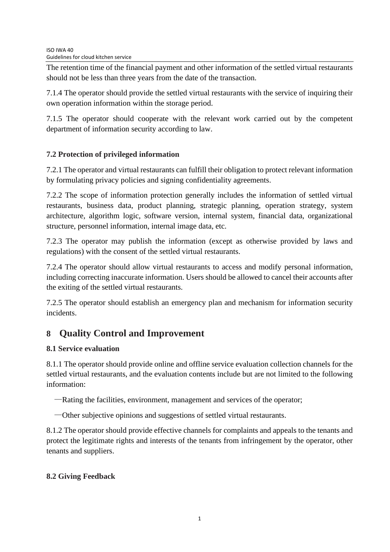The retention time of the financial payment and other information of the settled virtual restaurants should not be less than three years from the date of the transaction.

7.1.4 The operator should provide the settled virtual restaurants with the service of inquiring their own operation information within the storage period.

7.1.5 The operator should cooperate with the relevant work carried out by the competent department of information security according to law.

# **7.2 Protection of privileged information**

7.2.1 The operator and virtual restaurants can fulfill their obligation to protect relevant information by formulating privacy policies and signing confidentiality agreements.

7.2.2 The scope of information protection generally includes the information of settled virtual restaurants, business data, product planning, strategic planning, operation strategy, system architecture, algorithm logic, software version, internal system, financial data, organizational structure, personnel information, internal image data, etc.

7.2.3 The operator may publish the information (except as otherwise provided by laws and regulations) with the consent of the settled virtual restaurants.

7.2.4 The operator should allow virtual restaurants to access and modify personal information, including correcting inaccurate information. Users should be allowed to cancel their accounts after the exiting of the settled virtual restaurants.

7.2.5 The operator should establish an emergency plan and mechanism for information security incidents.

# **8 Quality Control and Improvement**

# **8.1 Service evaluation**

8.1.1 The operator should provide online and offline service evaluation collection channels for the settled virtual restaurants, and the evaluation contents include but are not limited to the following information:

—Rating the facilities, environment, management and services of the operator;

—Other subjective opinions and suggestions of settled virtual restaurants.

8.1.2 The operator should provide effective channels for complaints and appeals to the tenants and protect the legitimate rights and interests of the tenants from infringement by the operator, other tenants and suppliers.

# **8.2 Giving Feedback**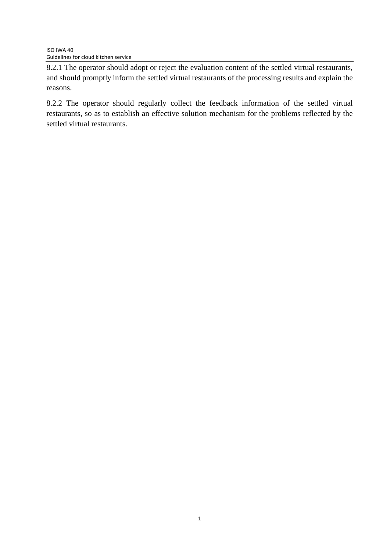8.2.1 The operator should adopt or reject the evaluation content of the settled virtual restaurants, and should promptly inform the settled virtual restaurants of the processing results and explain the reasons.

8.2.2 The operator should regularly collect the feedback information of the settled virtual restaurants, so as to establish an effective solution mechanism for the problems reflected by the settled virtual restaurants.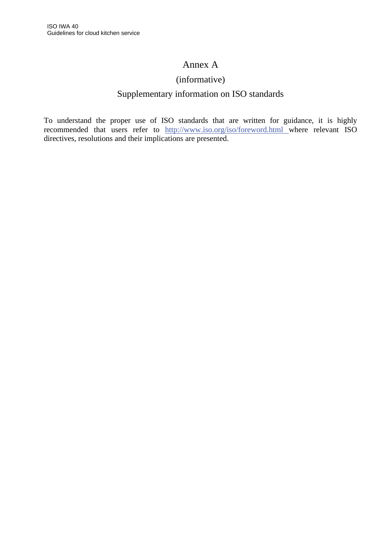# Annex A

## (informative)

# Supplementary information on ISO standards

To understand the proper use of ISO standards that are written for guidance, it is highly recommended that users refer to [http://www.iso.org/i](http://www.iso.org/obp)so/foreword.html where relevant ISO directives, resolutions and their implications are presented.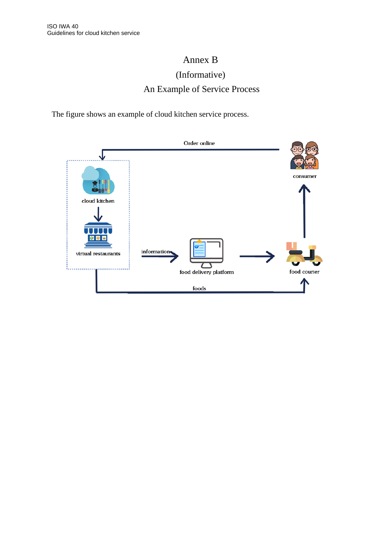# Annex B (Informative) An Example of Service Process

The figure shows an example of cloud kitchen service process.